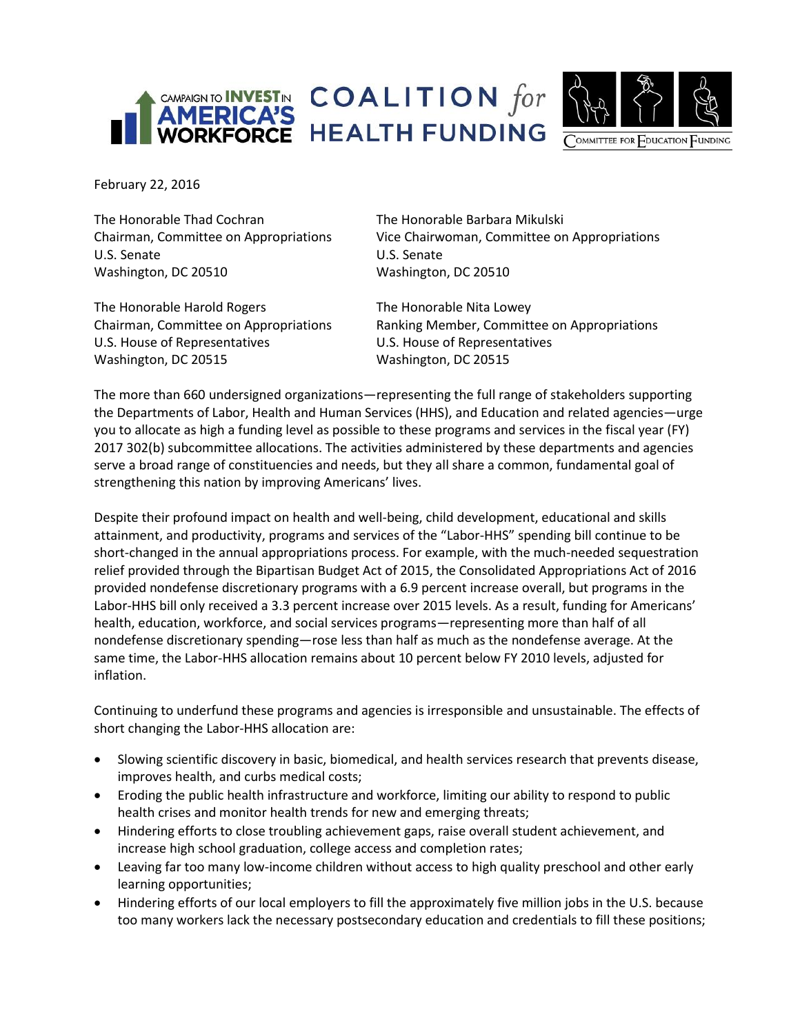



February 22, 2016

The Honorable Thad Cochran The Honorable Barbara Mikulski U.S. Senate U.S. Senate Washington, DC 20510 Washington, DC 20510

Chairman, Committee on Appropriations Vice Chairwoman, Committee on Appropriations

The Honorable Harold Rogers The Honorable Nita Lowey U.S. House of Representatives U.S. House of Representatives Washington, DC 20515 Washington, DC 20515

Chairman, Committee on Appropriations Ranking Member, Committee on Appropriations

The more than 660 undersigned organizations—representing the full range of stakeholders supporting the Departments of Labor, Health and Human Services (HHS), and Education and related agencies—urge you to allocate as high a funding level as possible to these programs and services in the fiscal year (FY) 2017 302(b) subcommittee allocations. The activities administered by these departments and agencies serve a broad range of constituencies and needs, but they all share a common, fundamental goal of strengthening this nation by improving Americans' lives.

Despite their profound impact on health and well-being, child development, educational and skills attainment, and productivity, programs and services of the "Labor-HHS" spending bill continue to be short-changed in the annual appropriations process. For example, with the much-needed sequestration relief provided through the Bipartisan Budget Act of 2015, the Consolidated Appropriations Act of 2016 provided nondefense discretionary programs with a 6.9 percent increase overall, but programs in the Labor-HHS bill only received a 3.3 percent increase over 2015 levels. As a result, funding for Americans' health, education, workforce, and social services programs—representing more than half of all nondefense discretionary spending—rose less than half as much as the nondefense average. At the same time, the Labor-HHS allocation remains about 10 percent below FY 2010 levels, adjusted for inflation.

Continuing to underfund these programs and agencies is irresponsible and unsustainable. The effects of short changing the Labor-HHS allocation are:

- Slowing scientific discovery in basic, biomedical, and health services research that prevents disease, improves health, and curbs medical costs;
- Eroding the public health infrastructure and workforce, limiting our ability to respond to public health crises and monitor health trends for new and emerging threats;
- Hindering efforts to close troubling achievement gaps, raise overall student achievement, and increase high school graduation, college access and completion rates;
- Leaving far too many low-income children without access to high quality preschool and other early learning opportunities;
- Hindering efforts of our local employers to fill the approximately five million jobs in the U.S. because too many workers lack the necessary postsecondary education and credentials to fill these positions;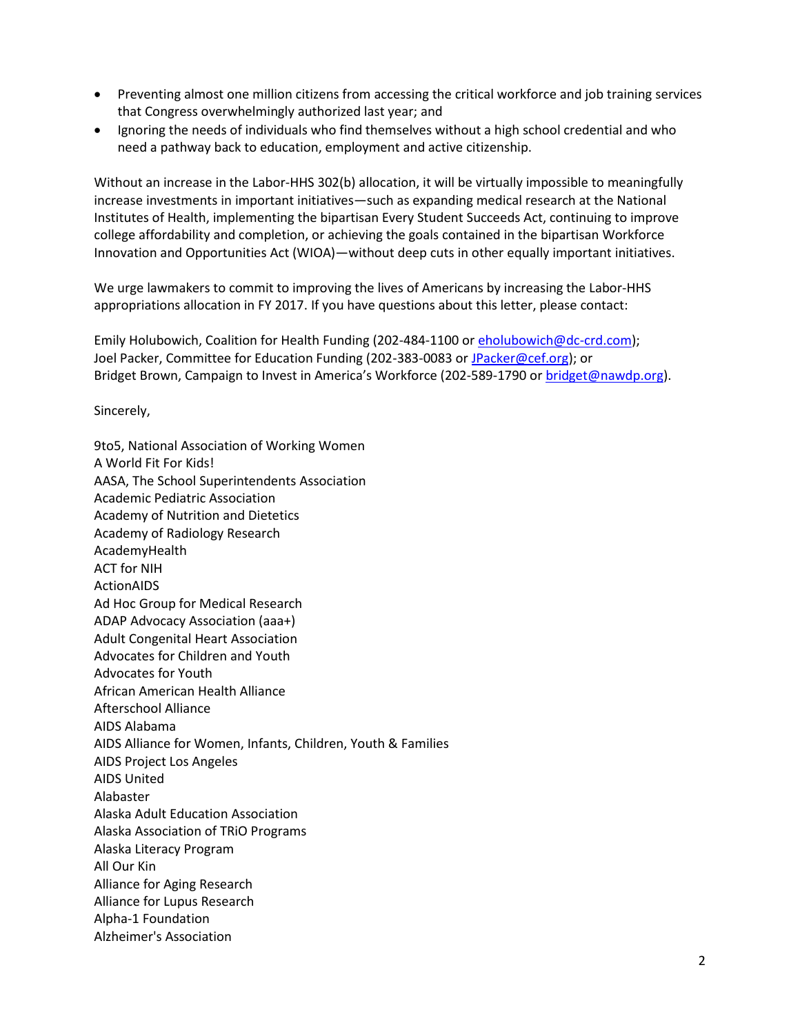- Preventing almost one million citizens from accessing the critical workforce and job training services that Congress overwhelmingly authorized last year; and
- Ignoring the needs of individuals who find themselves without a high school credential and who need a pathway back to education, employment and active citizenship.

Without an increase in the Labor-HHS 302(b) allocation, it will be virtually impossible to meaningfully increase investments in important initiatives—such as expanding medical research at the National Institutes of Health, implementing the bipartisan Every Student Succeeds Act, continuing to improve college affordability and completion, or achieving the goals contained in the bipartisan Workforce Innovation and Opportunities Act (WIOA)—without deep cuts in other equally important initiatives.

We urge lawmakers to commit to improving the lives of Americans by increasing the Labor-HHS appropriations allocation in FY 2017. If you have questions about this letter, please contact:

Emily Holubowich, Coalition for Health Funding (202-484-1100 or [eholubowich@dc-crd.com\)](mailto:eholubowich@dc-crd.com); Joel Packer, Committee for Education Funding (202-383-0083 or [JPacker@cef.org\)](mailto:JPacker@cef.org); or Bridget Brown, Campaign to Invest in America's Workforce (202-589-1790 o[r bridget@nawdp.org\)](mailto:rachelg@nationalskillscoalition.org).

Sincerely,

9to5, National Association of Working Women A World Fit For Kids! AASA, The School Superintendents Association Academic Pediatric Association Academy of Nutrition and Dietetics Academy of Radiology Research AcademyHealth ACT for NIH ActionAIDS Ad Hoc Group for Medical Research ADAP Advocacy Association (aaa+) Adult Congenital Heart Association Advocates for Children and Youth Advocates for Youth African American Health Alliance Afterschool Alliance AIDS Alabama AIDS Alliance for Women, Infants, Children, Youth & Families AIDS Project Los Angeles AIDS United Alabaster Alaska Adult Education Association Alaska Association of TRiO Programs Alaska Literacy Program All Our Kin Alliance for Aging Research Alliance for Lupus Research Alpha-1 Foundation Alzheimer's Association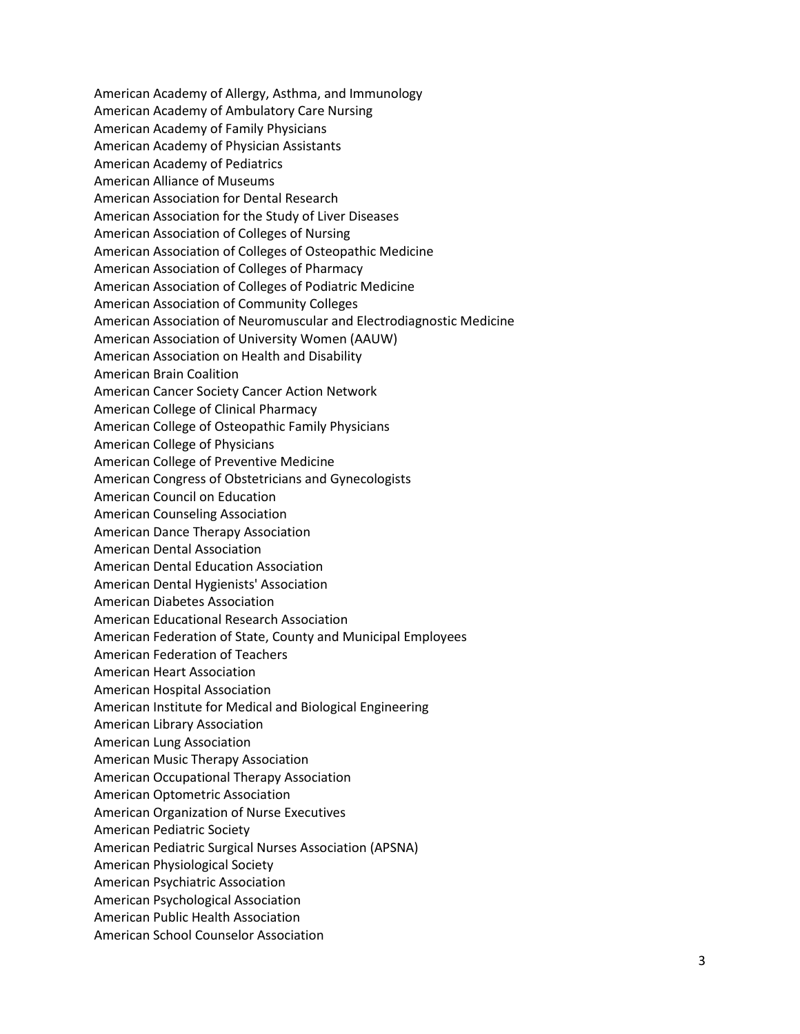American Academy of Allergy, Asthma, and Immunology American Academy of Ambulatory Care Nursing American Academy of Family Physicians American Academy of Physician Assistants American Academy of Pediatrics American Alliance of Museums American Association for Dental Research American Association for the Study of Liver Diseases American Association of Colleges of Nursing American Association of Colleges of Osteopathic Medicine American Association of Colleges of Pharmacy American Association of Colleges of Podiatric Medicine American Association of Community Colleges American Association of Neuromuscular and Electrodiagnostic Medicine American Association of University Women (AAUW) American Association on Health and Disability American Brain Coalition American Cancer Society Cancer Action Network American College of Clinical Pharmacy American College of Osteopathic Family Physicians American College of Physicians American College of Preventive Medicine American Congress of Obstetricians and Gynecologists American Council on Education American Counseling Association American Dance Therapy Association American Dental Association American Dental Education Association American Dental Hygienists' Association American Diabetes Association American Educational Research Association American Federation of State, County and Municipal Employees American Federation of Teachers American Heart Association American Hospital Association American Institute for Medical and Biological Engineering American Library Association American Lung Association American Music Therapy Association American Occupational Therapy Association American Optometric Association American Organization of Nurse Executives American Pediatric Society American Pediatric Surgical Nurses Association (APSNA) American Physiological Society American Psychiatric Association American Psychological Association American Public Health Association American School Counselor Association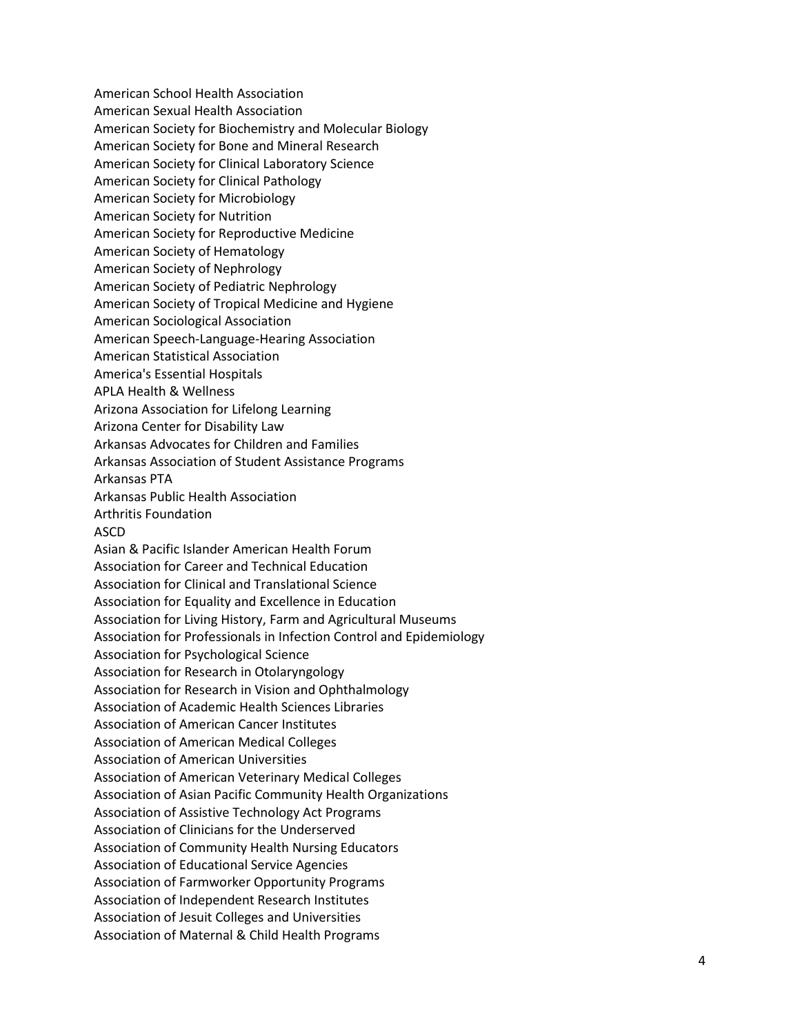American School Health Association American Sexual Health Association American Society for Biochemistry and Molecular Biology American Society for Bone and Mineral Research American Society for Clinical Laboratory Science American Society for Clinical Pathology American Society for Microbiology American Society for Nutrition American Society for Reproductive Medicine American Society of Hematology American Society of Nephrology American Society of Pediatric Nephrology American Society of Tropical Medicine and Hygiene American Sociological Association American Speech -Language -Hearing Association American Statistical Association America's Essential Hospitals APLA Health & Wellness Arizona Association for Lifelong Learning Arizona Center for Disability Law Arkansas Advocates for Children and Families Arkansas Association of Student Assistance Programs Arkansas PTA Arkansas Public Health Association Arthritis Foundation ASCD Asian & Pacific Islander American Health Forum Association for Career and Technical Education Association for Clinical and Translational Science Association for Equality and Excellence in Education Association for Living History, Farm and Agricultural Museums Association for Professionals in Infection Control and Epidemiology Association for Psychological Science Association for Research in Otolaryngology Association for Research in Vision and Ophthalmology Association of Academic Health Sciences Libraries Association of American Cancer Institutes Association of American Medical Colleges Association of American Universities Association of American Veterinary Medical Colleges Association of Asian Pacific Community Health Organization s Association of Assistive Technology Act Programs Association of Clinicians for the Underserved Association of Community Health Nursing Educators Association of Educational Service Agencies Association of Farmworker Opportunity Programs Association of Independent Research Institutes Association of Jesuit Colleges and Universities Association of Maternal & Child Health Programs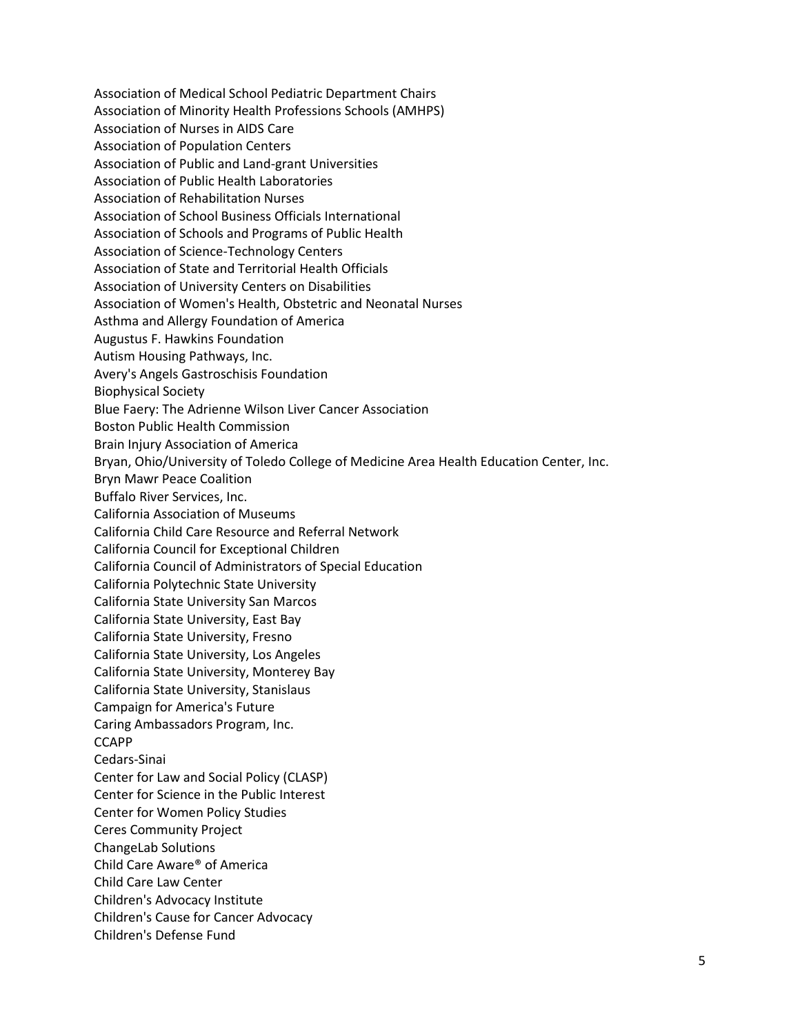Association of Medical School Pediatric Department Chairs Association of Minority Health Professions Schools (AMHPS) Association of Nurses in AIDS Care Association of Population Centers Association of Public and Land-grant Universities Association of Public Health Laboratories Association of Rehabilitation Nurses Association of School Business Officials International Association of Schools and Programs of Public Health Association of Science-Technology Centers Association of State and Territorial Health Officials Association of University Centers on Disabilities Association of Women's Health, Obstetric and Neonatal Nurses Asthma and Allergy Foundation of America Augustus F. Hawkins Foundation Autism Housing Pathways, Inc. Avery's Angels Gastroschisis Foundation Biophysical Society Blue Faery: The Adrienne Wilson Liver Cancer Association Boston Public Health Commission Brain Injury Association of America Bryan, Ohio/University of Toledo College of Medicine Area Health Education Center, Inc. Bryn Mawr Peace Coalition Buffalo River Services, Inc. California Association of Museums California Child Care Resource and Referral Network California Council for Exceptional Children California Council of Administrators of Special Education California Polytechnic State University California State University San Marcos California State University, East Bay California State University, Fresno California State University, Los Angeles California State University, Monterey Bay California State University, Stanislaus Campaign for America's Future Caring Ambassadors Program, Inc. **CCAPP** Cedars-Sinai Center for Law and Social Policy (CLASP) Center for Science in the Public Interest Center for Women Policy Studies Ceres Community Project ChangeLab Solutions Child Care Aware® of America Child Care Law Center Children's Advocacy Institute Children's Cause for Cancer Advocacy Children's Defense Fund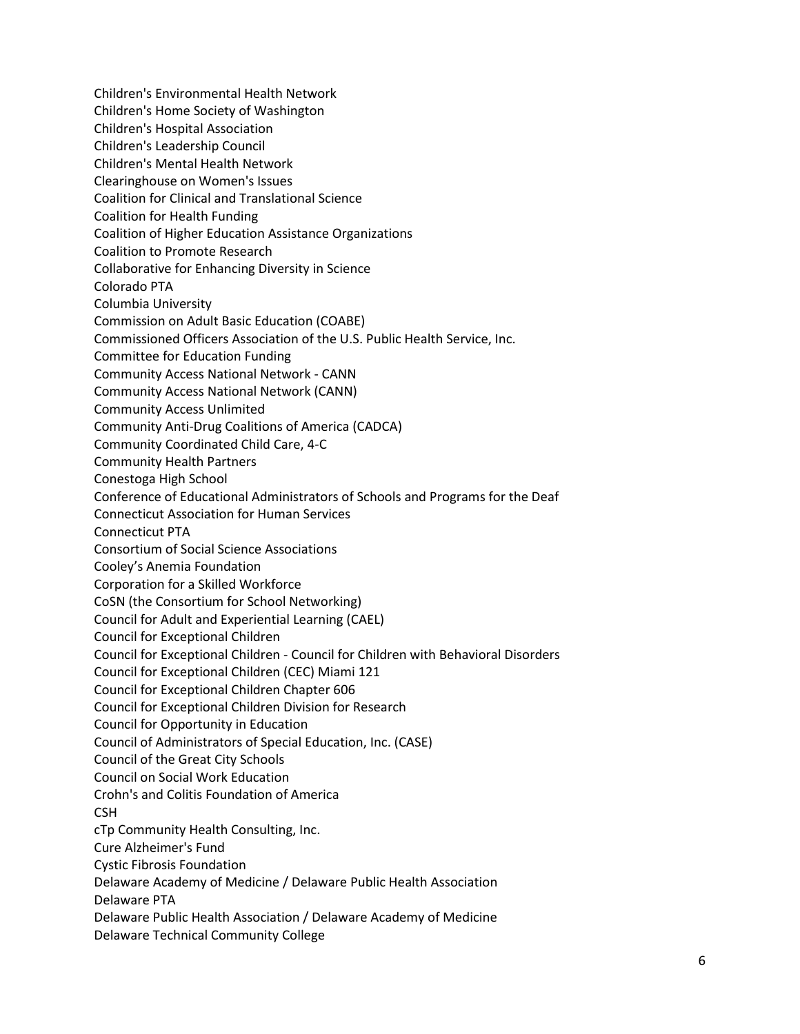Children's Environmental Health Network Children's Home Society of Washington Children's Hospital Association Children's Leadership Council Children's Mental Health Network Clearinghouse on Women's Issues Coalition for Clinical and Translational Science Coalition for Health Funding Coalition of Higher Education Assistance Organizations Coalition to Promote Research Collaborative for Enhancing Diversity in Science Colorado PTA Columbia University Commission on Adult Basic Education (COABE) Commissioned Officers Association of the U.S. Public Health Service, Inc. Committee for Education Funding Community Access National Network - CANN Community Access National Network (CANN) Community Access Unlimited Community Anti-Drug Coalitions of America (CADCA) Community Coordinated Child Care, 4-C Community Health Partners Conestoga High School Conference of Educational Administrators of Schools and Programs for the Deaf Connecticut Association for Human Services Connecticut PTA Consortium of Social Science Associations Cooley's Anemia Foundation Corporation for a Skilled Workforce CoSN (the Consortium for School Networking) Council for Adult and Experiential Learning (CAEL) Council for Exceptional Children Council for Exceptional Children - Council for Children with Behavioral Disorders Council for Exceptional Children (CEC) Miami 121 Council for Exceptional Children Chapter 606 Council for Exceptional Children Division for Research Council for Opportunity in Education Council of Administrators of Special Education, Inc. (CASE) Council of the Great City Schools Council on Social Work Education Crohn's and Colitis Foundation of America **CSH** cTp Community Health Consulting, Inc. Cure Alzheimer's Fund Cystic Fibrosis Foundation Delaware Academy of Medicine / Delaware Public Health Association Delaware PTA Delaware Public Health Association / Delaware Academy of Medicine Delaware Technical Community College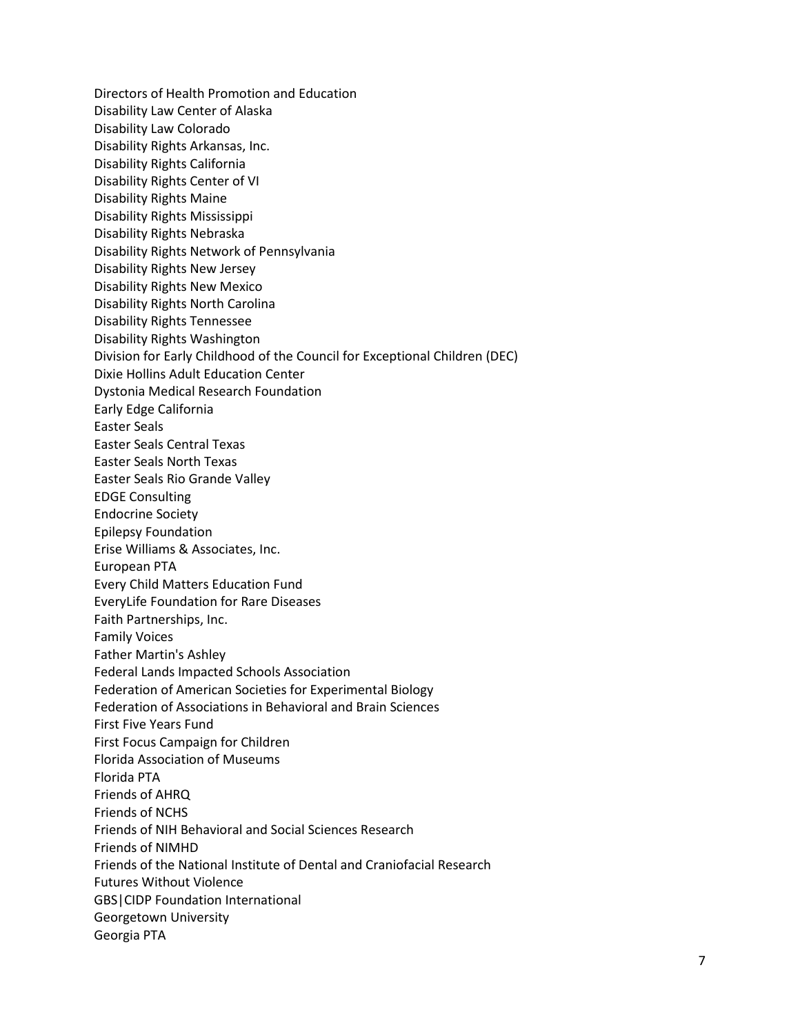Directors of Health Promotion and Education Disability Law Center of Alaska Disability Law Colorado Disability Rights Arkansas, Inc. Disability Rights California Disability Rights Center of VI Disability Rights Maine Disability Rights Mississippi Disability Rights Nebraska Disability Rights Network of Pennsylvania Disability Rights New Jersey Disability Rights New Mexico Disability Rights North Carolina Disability Rights Tennessee Disability Rights Washington Division for Early Childhood of the Council for Exceptional Children (DEC) Dixie Hollins Adult Education Center Dystonia Medical Research Foundation Early Edge California Easter Seals Easter Seals Central Texas Easter Seals North Texas Easter Seals Rio Grande Valley EDGE Consulting Endocrine Society Epilepsy Foundation Erise Williams & Associates, Inc. European PTA Every Child Matters Education Fund EveryLife Foundation for Rare Diseases Faith Partnerships, Inc. Family Voices Father Martin's Ashley Federal Lands Impacted Schools Association Federation of American Societies for Experimental Biology Federation of Associations in Behavioral and Brain Sciences First Five Years Fund First Focus Campaign for Children Florida Association of Museums Florida PTA Friends of AHRQ Friends of NCHS Friends of NIH Behavioral and Social Sciences Research Friends of NIMHD Friends of the National Institute of Dental and Craniofacial Research Futures Without Violence GBS|CIDP Foundation International Georgetown University Georgia PTA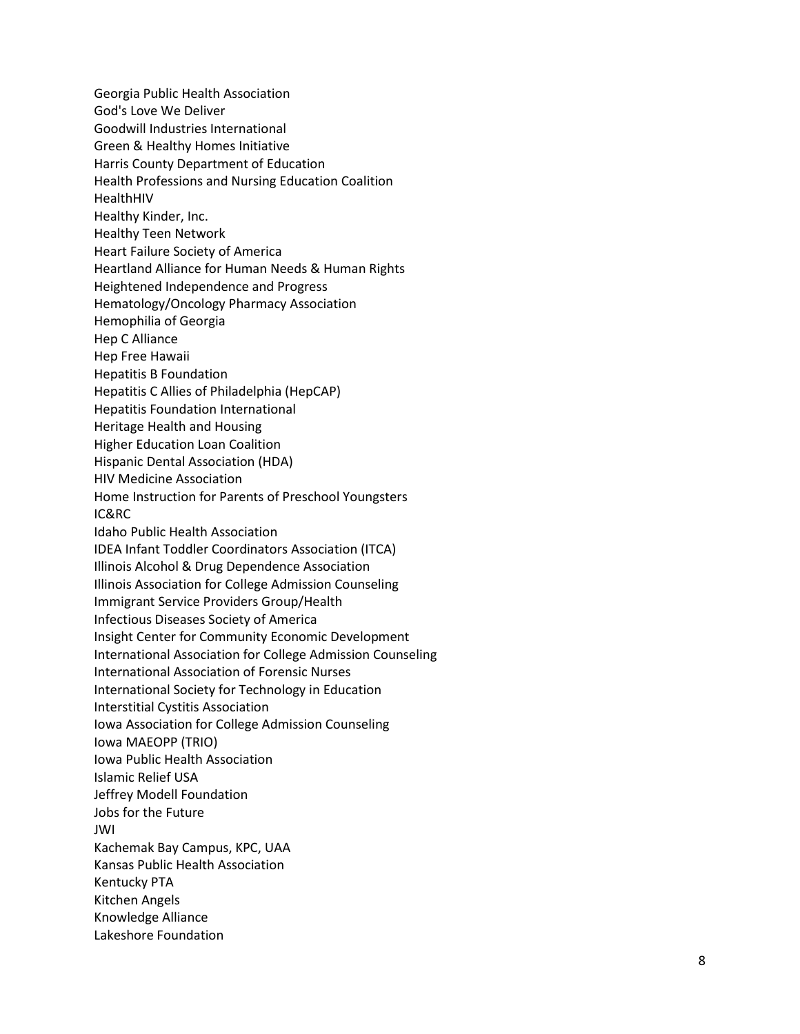Georgia Public Health Association God's Love We Deliver Goodwill Industries International Green & Healthy Homes Initiative Harris County Department of Education Health Professions and Nursing Education Coalition HealthHIV Healthy Kinder, Inc. Healthy Teen Network Heart Failure Society of America Heartland Alliance for Human Needs & Human Rights Heightened Independence and Progress Hematology/Oncology Pharmacy Association Hemophilia of Georgia Hep C Alliance Hep Free Hawaii Hepatitis B Foundation Hepatitis C Allies of Philadelphia (HepCAP) Hepatitis Foundation International Heritage Health and Housing Higher Education Loan Coalition Hispanic Dental Association (HDA) HIV Medicine Association Home Instruction for Parents of Preschool Youngsters IC&RC Idaho Public Health Association IDEA Infant Toddler Coordinators Association (ITCA) Illinois Alcohol & Drug Dependence Association Illinois Association for College Admission Counseling Immigrant Service Providers Group/Health Infectious Diseases Society of America Insight Center for Community Economic Development International Association for College Admission Counseling International Association of Forensic Nurses International Society for Technology in Education Interstitial Cystitis Association Iowa Association for College Admission Counseling Iowa MAEOPP (TRIO) Iowa Public Health Association Islamic Relief USA Jeffrey Modell Foundation Jobs for the Future JWI Kachemak Bay Campus, KPC, UAA Kansas Public Health Association Kentucky PTA Kitchen Angels Knowledge Alliance Lakeshore Foundation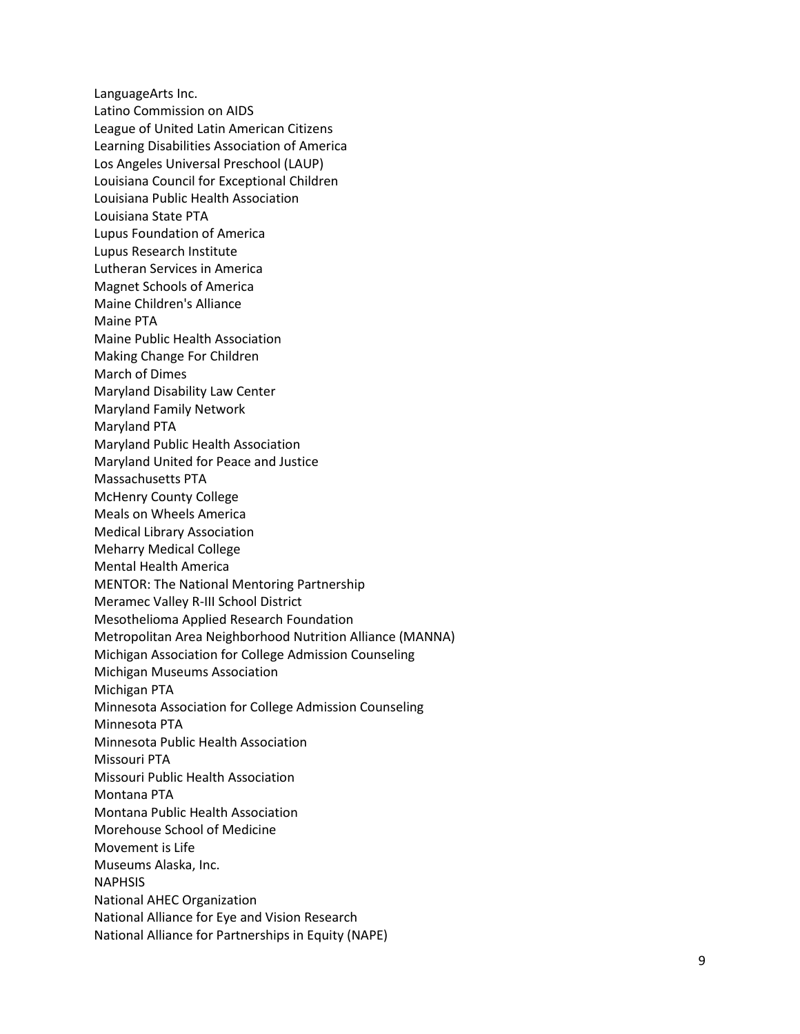LanguageArts Inc. Latino Commission on AIDS League of United Latin American Citizens Learning Disabilities Association of America Los Angeles Universal Preschool (LAUP) Louisiana Council for Exceptional Children Louisiana Public Health Association Louisiana State PTA Lupus Foundation of America Lupus Research Institute Lutheran Services in America Magnet Schools of America Maine Children's Alliance Maine PTA Maine Public Health Association Making Change For Children March of Dimes Maryland Disability Law Center Maryland Family Network Maryland PTA Maryland Public Health Association Maryland United for Peace and Justice Massachusetts PTA McHenry County College Meals on Wheels America Medical Library Association Meharry Medical College Mental Health America MENTOR: The National Mentoring Partnership Meramec Valley R -III School District Mesothelioma Applied Research Foundation Metropolitan Area Neighborhood Nutrition Alliance (MANNA) Michigan Association for College Admission Counseling Michigan Museums Association Michigan PTA Minnesota Association for College Admission Counseling Minnesota PTA Minnesota Public Health Association Missouri PTA Missouri Public Health Association Montana PTA Montana Public Health Association Morehouse School of Medicine Movement is Life Museums Alaska, Inc. NAPHSIS National AHEC Organization National Alliance for Eye and Vision Research National Alliance for Partnerships in Equity (NAPE)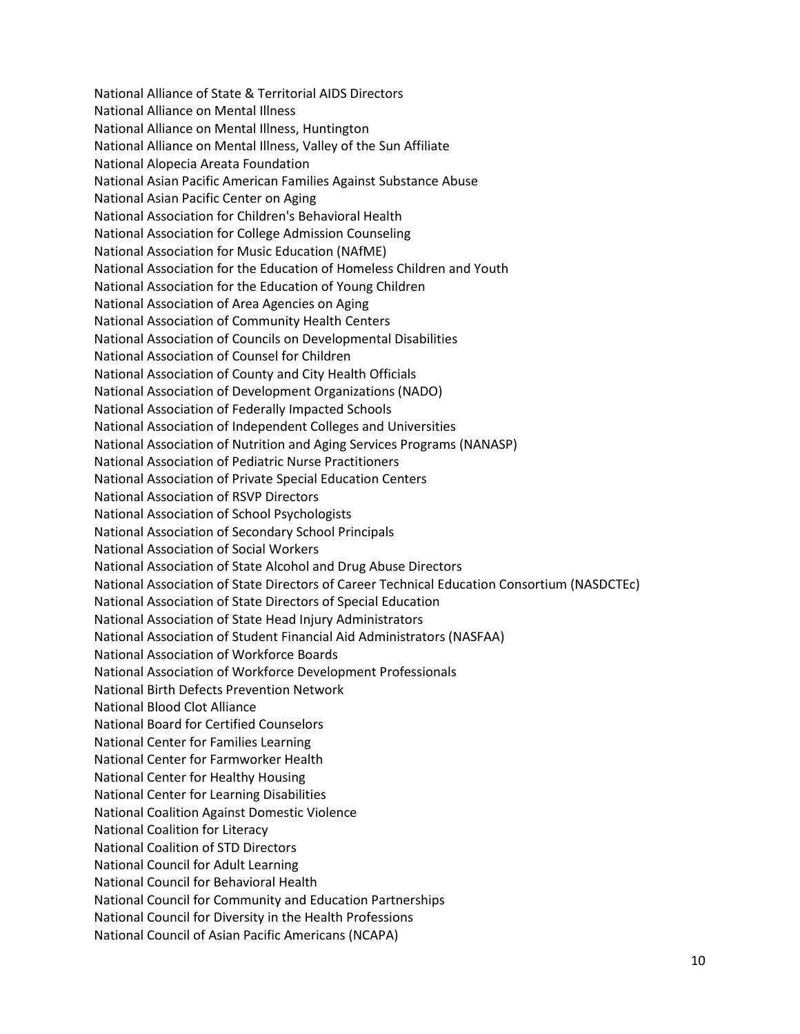National Alliance of State & Territorial AIDS Directors National Alliance on Mental Illness National Alliance on Mental Illness, Huntington National Alliance on Mental Illness, Valley of the Sun Affiliate National Alopecia Areata Foundation National Asian Pacific American Families Against Substance Abuse National Asian Pacific Center on Aging National Association for Children's Behavioral Health National Association for College Admission Counseling National Association for Music Education (NAfME) National Association for the Education of Homeless Children and Youth National Association for the Education of Young Children National Association of Area Agencies on Aging National Association of Community Health Centers National Association of Councils on Developmental Disabilities National Association of Counsel for Children National Association of County and City Health Officials National Association of Development Organizations (NADO) National Association of Federally Impacted Schools National Association of Independent Colleges and Universities National Association of Nutrition and Aging Services Programs (NANASP) National Association of Pediatric Nurse Practitioners National Association of Private Special Education Centers National Association of RSVP Directors National Association of School Psychologists National Association of Secondary School Principals National Association of Social Workers National Association of State Alcohol and Drug Abuse Directors National Association of State Directors of Career Technical Education Consortium (NASDCTEc) National Association of State Directors of Special Education National Association of State Head Injury Administrators National Association of Student Financial Aid Administrators (NASFAA) National Association of Workforce Boards National Association of Workforce Development Professionals National Birth Defects Prevention Network National Blood Clot Alliance National Board for Certified Counselors National Center for Families Learning National Center for Farmworker Health National Center for Healthy Housing National Center for Learning Disabilities National Coalition Against Domestic Violence National Coalition for Literacy National Coalition of STD Directors National Council for Adult Learning National Council for Behavioral Health National Council for Community and Education Partnerships National Council for Diversity in the Health Professions National Council of Asian Pacific Americans (NCAPA)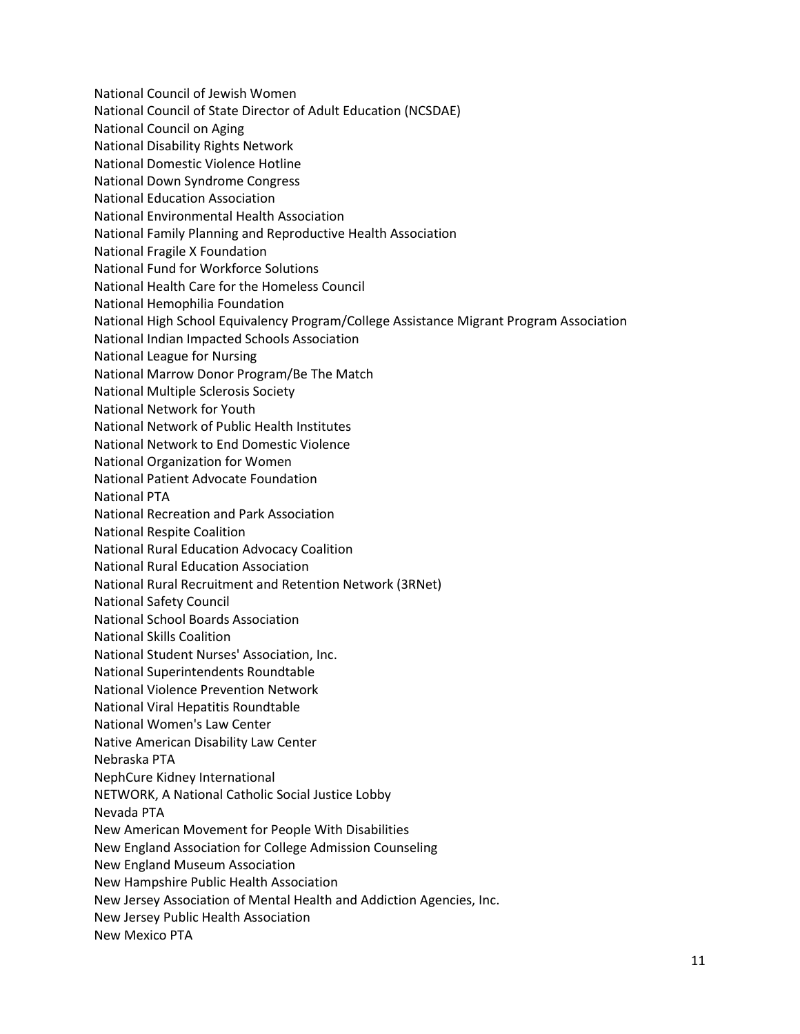National Council of Jewish Women National Council of State Director of Adult Education (NCSDAE) National Council on Aging National Disability Rights Network National Domestic Violence Hotline National Down Syndrome Congress National Education Association National Environmental Health Association National Family Planning and Reproductive Health Association National Fragile X Foundation National Fund for Workforce Solutions National Health Care for the Homeless Council National Hemophilia Foundation National High School Equivalency Program/College Assistance Migrant Program Association National Indian Impacted Schools Association National League for Nursing National Marrow Donor Program/Be The Match National Multiple Sclerosis Society National Network for Youth National Network of Public Health Institutes National Network to End Domestic Violence National Organization for Women National Patient Advocate Foundation National PTA National Recreation and Park Association National Respite Coalition National Rural Education Advocacy Coalition National Rural Education Association National Rural Recruitment and Retention Network (3RNet) National Safety Council National School Boards Association National Skills Coalition National Student Nurses' Association, Inc. National Superintendents Roundtable National Violence Prevention Network National Viral Hepatitis Roundtable National Women's Law Center Native American Disability Law Center Nebraska PTA NephCure Kidney International NETWORK, A National Catholic Social Justice Lobby Nevada PTA New American Movement for People With Disabilities New England Association for College Admission Counseling New England Museum Association New Hampshire Public Health Association New Jersey Association of Mental Health and Addiction Agencies, Inc. New Jersey Public Health Association New Mexico PTA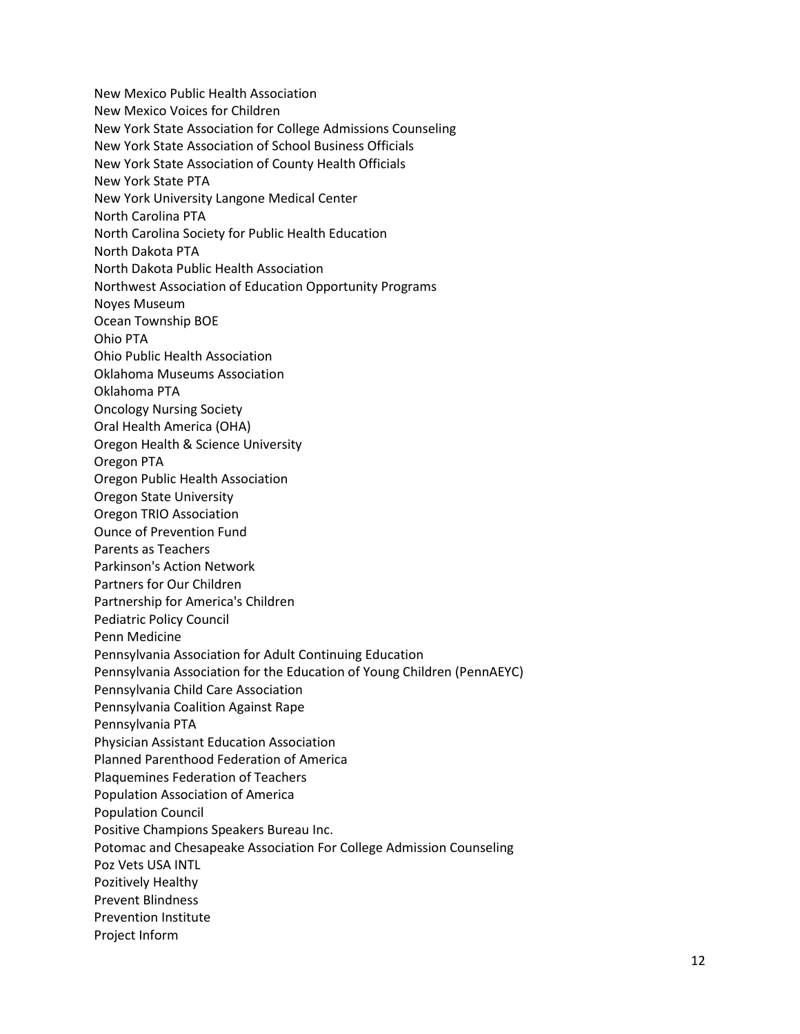New Mexico Public Health Association New Mexico Voices for Children New York State Association for College Admissions Counseling New York State Association of School Business Officials New York State Association of County Health Officials New York State PTA New York University Langone Medical Center North Carolina PTA North Carolina Society for Public Health Education North Dakota PTA North Dakota Public Health Association Northwest Association of Education Opportunity Programs Noyes Museum Ocean Township BOE Ohio PTA Ohio Public Health Association Oklahoma Museums Association Oklahoma PTA Oncology Nursing Society Oral Health America (OHA) Oregon Health & Science University Oregon PTA Oregon Public Health Association Oregon State University Oregon TRIO Association Ounce of Prevention Fund Parents as Teachers Parkinson's Action Network Partners for Our Children Partnership for America's Children Pediatric Policy Council Penn Medicine Pennsylvania Association for Adult Continuing Education Pennsylvania Association for the Education of Young Children (PennAEYC) Pennsylvania Child Care Association Pennsylvania Coalition Against Rape Pennsylvania PTA Physician Assistant Education Association Planned Parenthood Federation of America Plaquemines Federation of Teachers Population Association of America Population Council Positive Champions Speakers Bureau Inc. Potomac and Chesapeake Association For College Admission Counseling Poz Vets USA INTL Pozitively Healthy Prevent Blindness Prevention Institute Project Inform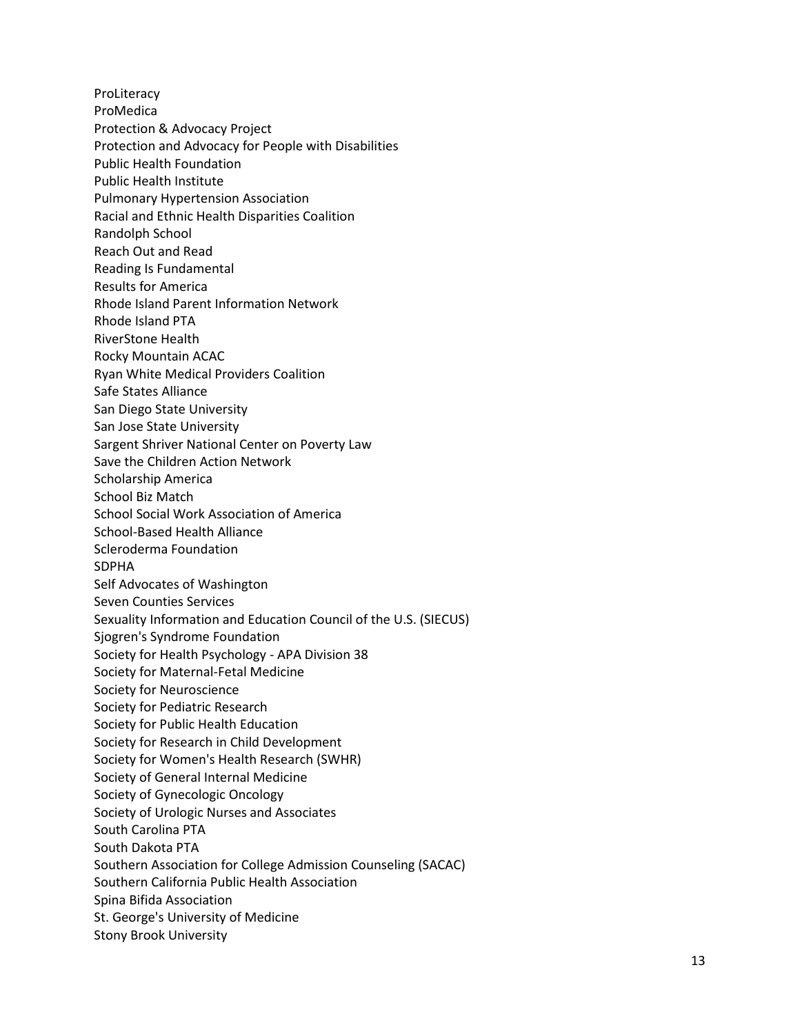**ProLiteracy** ProMedica Protection & Advocacy Project Protection and Advocacy for People with Disabilities Public Health Foundation Public Health Institute Pulmonary Hypertension Association Racial and Ethnic Health Disparities Coalition Randolph School Reach Out and Read Reading Is Fundamental Results for America Rhode Island Parent Information Network Rhode Island PTA RiverStone Health Rocky Mountain ACAC Ryan White Medical Providers Coalition Safe States Alliance San Diego State University San Jose State University Sargent Shriver National Center on Poverty Law Save the Children Action Network Scholarship America School Biz Match School Social Work Association of America School -Based Health Alliance Scleroderma Foundation SDPHA Self Advocates of Washington Seven Counties Services Sexuality Information and Education Council of the U.S. (SIECUS) Sjogren's Syndrome Foundation Society for Health Psychology - APA Division 38 Society for Maternal -Fetal Medicine Society for Neuroscience Society for Pediatric Research Society for Public Health Education Society for Research in Child Development Society for Women's Health Research (SWHR) Society of General Internal Medicine Society of Gynecologic Oncology Society of Urologic Nurses and Associates South Carolina PTA South Dakota PTA Southern Association for College Admission Counseling (SACAC) Southern California Public Health Association Spina Bifida Association St. George's University of Medicine Stony Brook University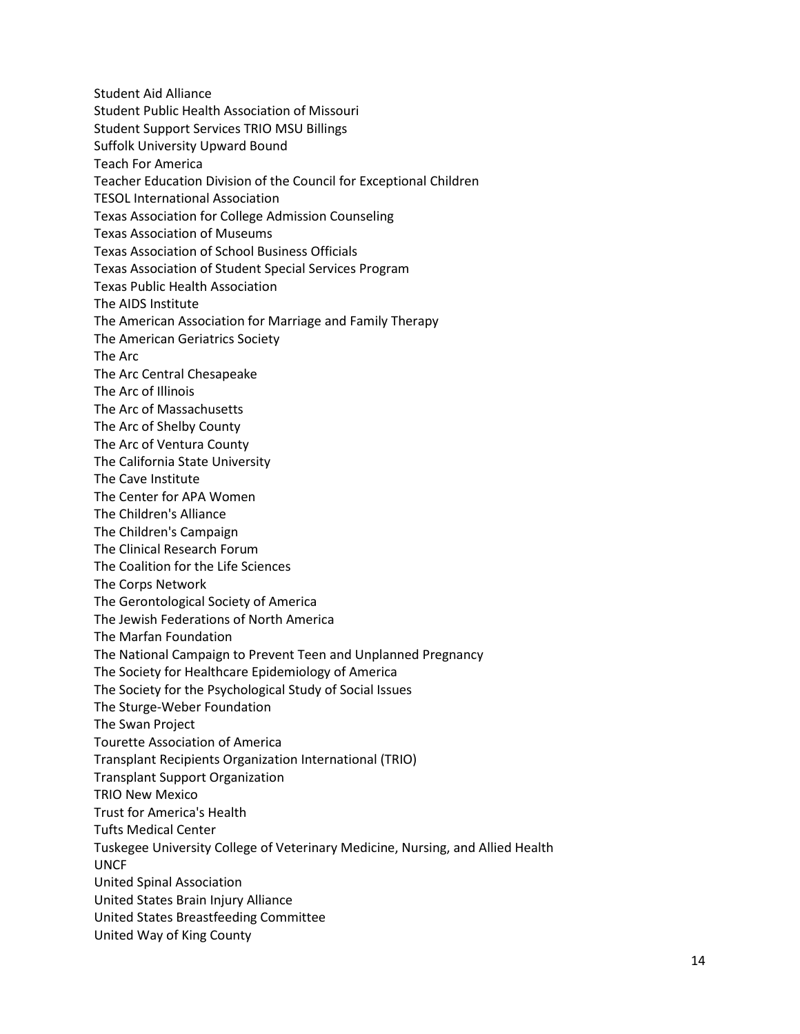Student Aid Alliance Student Public Health Association of Missouri Student Support Services TRIO MSU Billings Suffolk University Upward Bound Teach For America Teacher Education Division of the Council for Exceptional Children TESOL International Association Texas Association for College Admission Counseling Texas Association of Museums Texas Association of School Business Officials Texas Association of Student Special Services Program Texas Public Health Association The AIDS Institute The American Association for Marriage and Family Therapy The American Geriatrics Society The Arc The Arc Central Chesapeake The Arc of Illinois The Arc of Massachusetts The Arc of Shelby County The Arc of Ventura County The California State University The Cave Institute The Center for APA Women The Children's Alliance The Children's Campaign The Clinical Research Forum The Coalition for the Life Sciences The Corps Network The Gerontological Society of America The Jewish Federations of North America The Marfan Foundation The National Campaign to Prevent Teen and Unplanned Pregnancy The Society for Healthcare Epidemiology of America The Society for the Psychological Study of Social Issues The Sturge-Weber Foundation The Swan Project Tourette Association of America Transplant Recipients Organization International (TRIO) Transplant Support Organization TRIO New Mexico Trust for America's Health Tufts Medical Center Tuskegee University College of Veterinary Medicine, Nursing, and Allied Health UNCF United Spinal Association United States Brain Injury Alliance United States Breastfeeding Committee United Way of King County